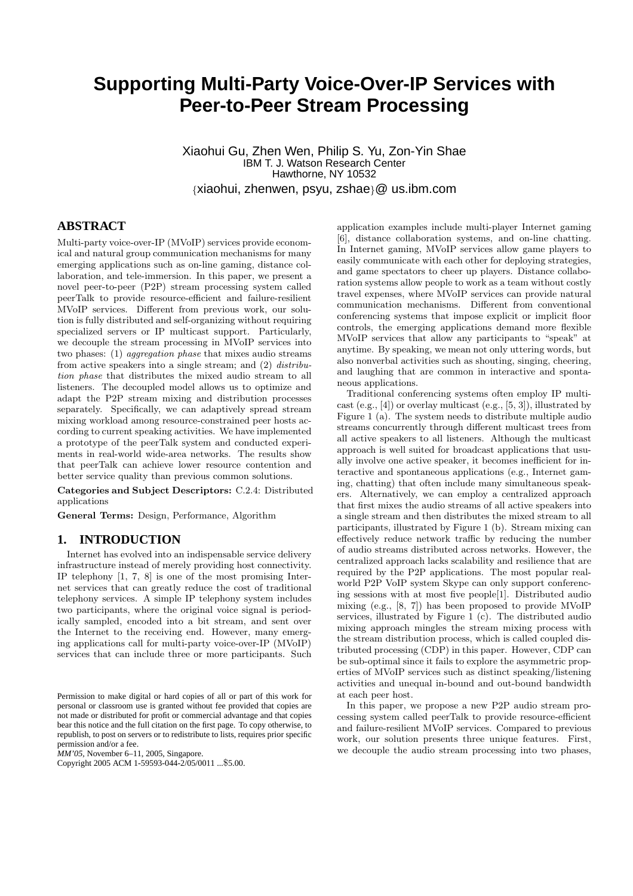# **Supporting Multi-Party Voice-Over-IP Services with Peer-to-Peer Stream Processing**

Xiaohui Gu, Zhen Wen, Philip S. Yu, Zon-Yin Shae IBM T. J. Watson Research Center Hawthorne, NY 10532 {xiaohui, zhenwen, psyu, zshae}@ us.ibm.com

### **ABSTRACT**

Multi-party voice-over-IP (MVoIP) services provide economical and natural group communication mechanisms for many emerging applications such as on-line gaming, distance collaboration, and tele-immersion. In this paper, we present a novel peer-to-peer (P2P) stream processing system called peerTalk to provide resource-efficient and failure-resilient MVoIP services. Different from previous work, our solution is fully distributed and self-organizing without requiring specialized servers or IP multicast support. Particularly, we decouple the stream processing in MVoIP services into two phases: (1) aggregation phase that mixes audio streams from active speakers into a single stream; and (2) distribution phase that distributes the mixed audio stream to all listeners. The decoupled model allows us to optimize and adapt the P2P stream mixing and distribution processes separately. Specifically, we can adaptively spread stream mixing workload among resource-constrained peer hosts according to current speaking activities. We have implemented a prototype of the peerTalk system and conducted experiments in real-world wide-area networks. The results show that peerTalk can achieve lower resource contention and better service quality than previous common solutions.

Categories and Subject Descriptors: C.2.4: Distributed applications

General Terms: Design, Performance, Algorithm

#### **1. INTRODUCTION**

Internet has evolved into an indispensable service delivery infrastructure instead of merely providing host connectivity. IP telephony [1, 7, 8] is one of the most promising Internet services that can greatly reduce the cost of traditional telephony services. A simple IP telephony system includes two participants, where the original voice signal is periodically sampled, encoded into a bit stream, and sent over the Internet to the receiving end. However, many emerging applications call for multi-party voice-over-IP (MVoIP) services that can include three or more participants. Such

*MM'05,* November 6–11, 2005, Singapore.

Copyright 2005 ACM 1-59593-044-2/05/0011 ...\$5.00.

application examples include multi-player Internet gaming [6], distance collaboration systems, and on-line chatting. In Internet gaming, MVoIP services allow game players to easily communicate with each other for deploying strategies, and game spectators to cheer up players. Distance collaboration systems allow people to work as a team without costly travel expenses, where MVoIP services can provide natural communication mechanisms. Different from conventional conferencing systems that impose explicit or implicit floor controls, the emerging applications demand more flexible MVoIP services that allow any participants to "speak" at anytime. By speaking, we mean not only uttering words, but also nonverbal activities such as shouting, singing, cheering, and laughing that are common in interactive and spontaneous applications.

Traditional conferencing systems often employ IP multicast  $(e.g., [4])$  or overlay multicast  $(e.g., [5, 3])$ , illustrated by Figure 1 (a). The system needs to distribute multiple audio streams concurrently through different multicast trees from all active speakers to all listeners. Although the multicast approach is well suited for broadcast applications that usually involve one active speaker, it becomes inefficient for interactive and spontaneous applications (e.g., Internet gaming, chatting) that often include many simultaneous speakers. Alternatively, we can employ a centralized approach that first mixes the audio streams of all active speakers into a single stream and then distributes the mixed stream to all participants, illustrated by Figure 1 (b). Stream mixing can effectively reduce network traffic by reducing the number of audio streams distributed across networks. However, the centralized approach lacks scalability and resilience that are required by the P2P applications. The most popular realworld P2P VoIP system Skype can only support conferencing sessions with at most five people[1]. Distributed audio mixing (e.g., [8, 7]) has been proposed to provide MVoIP services, illustrated by Figure 1 (c). The distributed audio mixing approach mingles the stream mixing process with the stream distribution process, which is called coupled distributed processing (CDP) in this paper. However, CDP can be sub-optimal since it fails to explore the asymmetric properties of MVoIP services such as distinct speaking/listening activities and unequal in-bound and out-bound bandwidth at each peer host.

In this paper, we propose a new P2P audio stream processing system called peerTalk to provide resource-efficient and failure-resilient MVoIP services. Compared to previous work, our solution presents three unique features. First, we decouple the audio stream processing into two phases,

Permission to make digital or hard copies of all or part of this work for personal or classroom use is granted without fee provided that copies are not made or distributed for profit or commercial advantage and that copies bear this notice and the full citation on the first page. To copy otherwise, to republish, to post on servers or to redistribute to lists, requires prior specific permission and/or a fee.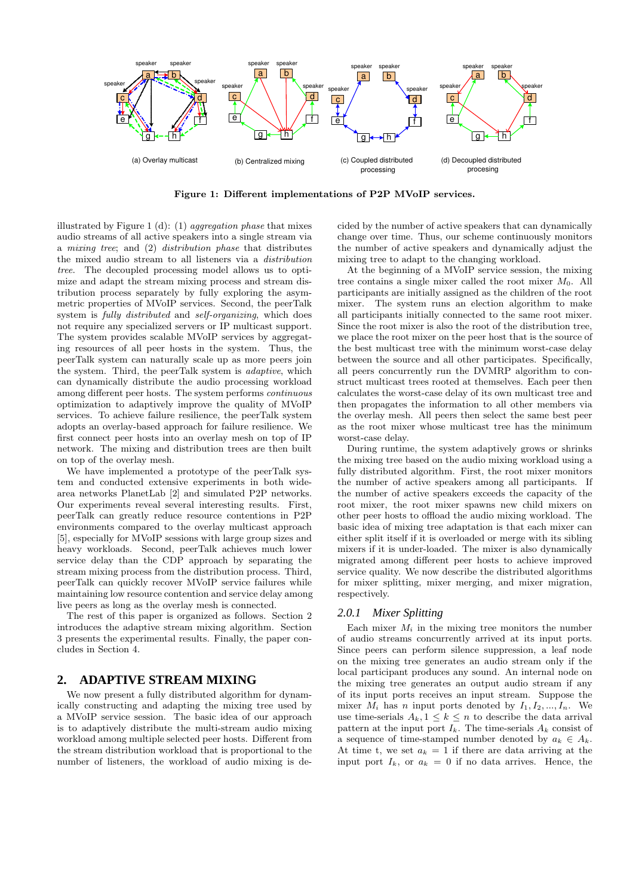

Figure 1: Different implementations of P2P MVoIP services.

illustrated by Figure 1 (d): (1) aggregation phase that mixes audio streams of all active speakers into a single stream via a mixing tree; and (2) distribution phase that distributes the mixed audio stream to all listeners via a distribution tree. The decoupled processing model allows us to optimize and adapt the stream mixing process and stream distribution process separately by fully exploring the asymmetric properties of MVoIP services. Second, the peerTalk system is fully distributed and self-organizing, which does not require any specialized servers or IP multicast support. The system provides scalable MVoIP services by aggregating resources of all peer hosts in the system. Thus, the peerTalk system can naturally scale up as more peers join the system. Third, the peerTalk system is adaptive, which can dynamically distribute the audio processing workload among different peer hosts. The system performs continuous optimization to adaptively improve the quality of MVoIP services. To achieve failure resilience, the peerTalk system adopts an overlay-based approach for failure resilience. We first connect peer hosts into an overlay mesh on top of IP network. The mixing and distribution trees are then built on top of the overlay mesh.

We have implemented a prototype of the peerTalk system and conducted extensive experiments in both widearea networks PlanetLab [2] and simulated P2P networks. Our experiments reveal several interesting results. First, peerTalk can greatly reduce resource contentions in P2P environments compared to the overlay multicast approach [5], especially for MVoIP sessions with large group sizes and heavy workloads. Second, peerTalk achieves much lower service delay than the CDP approach by separating the stream mixing process from the distribution process. Third, peerTalk can quickly recover MVoIP service failures while maintaining low resource contention and service delay among live peers as long as the overlay mesh is connected.

The rest of this paper is organized as follows. Section 2 introduces the adaptive stream mixing algorithm. Section 3 presents the experimental results. Finally, the paper concludes in Section 4.

#### **2. ADAPTIVE STREAM MIXING**

We now present a fully distributed algorithm for dynamically constructing and adapting the mixing tree used by a MVoIP service session. The basic idea of our approach is to adaptively distribute the multi-stream audio mixing workload among multiple selected peer hosts. Different from the stream distribution workload that is proportional to the number of listeners, the workload of audio mixing is decided by the number of active speakers that can dynamically change over time. Thus, our scheme continuously monitors the number of active speakers and dynamically adjust the mixing tree to adapt to the changing workload.

At the beginning of a MVoIP service session, the mixing tree contains a single mixer called the root mixer  $M_0$ . All participants are initially assigned as the children of the root mixer. The system runs an election algorithm to make all participants initially connected to the same root mixer. Since the root mixer is also the root of the distribution tree, we place the root mixer on the peer host that is the source of the best multicast tree with the minimum worst-case delay between the source and all other participates. Specifically, all peers concurrently run the DVMRP algorithm to construct multicast trees rooted at themselves. Each peer then calculates the worst-case delay of its own multicast tree and then propagates the information to all other members via the overlay mesh. All peers then select the same best peer as the root mixer whose multicast tree has the minimum worst-case delay.

During runtime, the system adaptively grows or shrinks the mixing tree based on the audio mixing workload using a fully distributed algorithm. First, the root mixer monitors the number of active speakers among all participants. If the number of active speakers exceeds the capacity of the root mixer, the root mixer spawns new child mixers on other peer hosts to offload the audio mixing workload. The basic idea of mixing tree adaptation is that each mixer can either split itself if it is overloaded or merge with its sibling mixers if it is under-loaded. The mixer is also dynamically migrated among different peer hosts to achieve improved service quality. We now describe the distributed algorithms for mixer splitting, mixer merging, and mixer migration, respectively.

#### *2.0.1 Mixer Splitting*

Each mixer  $M_i$  in the mixing tree monitors the number of audio streams concurrently arrived at its input ports. Since peers can perform silence suppression, a leaf node on the mixing tree generates an audio stream only if the local participant produces any sound. An internal node on the mixing tree generates an output audio stream if any of its input ports receives an input stream. Suppose the mixer  $M_i$  has n input ports denoted by  $I_1, I_2, ..., I_n$ . We use time-serials  $A_k, 1 \leq k \leq n$  to describe the data arrival pattern at the input port  $I_k$ . The time-serials  $A_k$  consist of a sequence of time-stamped number denoted by  $a_k \in A_k$ . At time t, we set  $a_k = 1$  if there are data arriving at the input port  $I_k$ , or  $a_k = 0$  if no data arrives. Hence, the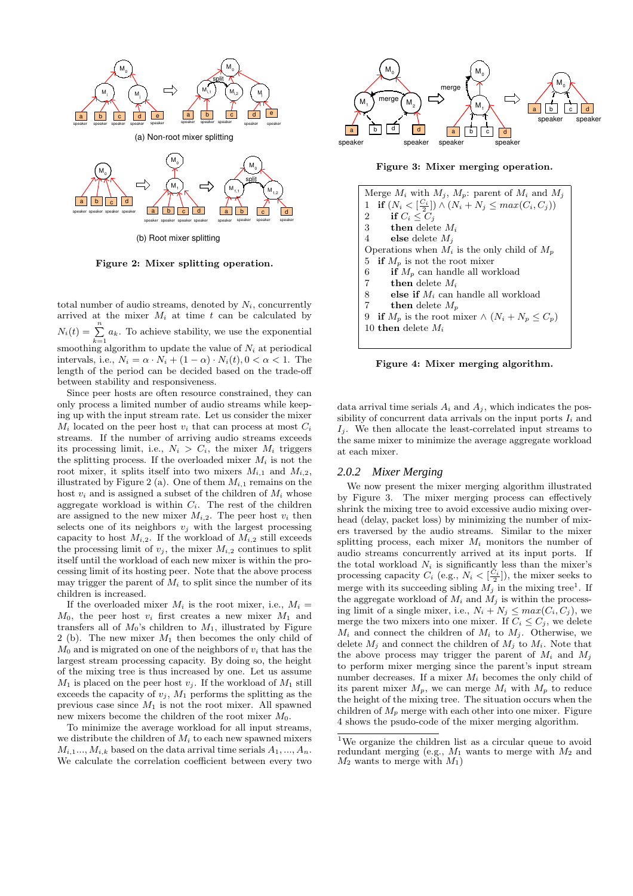

Figure 2: Mixer splitting operation.

total number of audio streams, denoted by  $N_i$ , concurrently arrived at the mixer  $M_i$  at time t can be calculated by  $N_i(t) = \sum_{k=1}^{n} a_k$ . To achieve stability, we use the exponential smoothing algorithm to update the value of  $N_i$  at periodical intervals, i.e.,  $N_i = \alpha \cdot N_i + (1 - \alpha) \cdot N_i(t)$ ,  $0 < \alpha < 1$ . The length of the period can be decided based on the trade-off between stability and responsiveness.

Since peer hosts are often resource constrained, they can only process a limited number of audio streams while keeping up with the input stream rate. Let us consider the mixer  $M_i$  located on the peer host  $v_i$  that can process at most  $C_i$ streams. If the number of arriving audio streams exceeds its processing limit, i.e.,  $N_i > C_i$ , the mixer  $M_i$  triggers the splitting process. If the overloaded mixer  $M_i$  is not the root mixer, it splits itself into two mixers  $M_{i,1}$  and  $M_{i,2}$ , illustrated by Figure 2 (a). One of them  $M_{i,1}$  remains on the host  $v_i$  and is assigned a subset of the children of  $M_i$  whose aggregate workload is within  $C_i$ . The rest of the children are assigned to the new mixer  $M_{i,2}$ . The peer host  $v_i$  then selects one of its neighbors  $v_j$  with the largest processing capacity to host  $M_{i,2}$ . If the workload of  $M_{i,2}$  still exceeds the processing limit of  $v_j$ , the mixer  $M_{i,2}$  continues to split itself until the workload of each new mixer is within the processing limit of its hosting peer. Note that the above process may trigger the parent of  $M_i$  to split since the number of its children is increased.

If the overloaded mixer  $M_i$  is the root mixer, i.e.,  $M_i =$  $M_0$ , the peer host  $v_i$  first creates a new mixer  $M_1$  and transfers all of  $M_0$ 's children to  $M_1$ , illustrated by Figure 2 (b). The new mixer  $M_1$  then becomes the only child of  $M_0$  and is migrated on one of the neighbors of  $v_i$  that has the largest stream processing capacity. By doing so, the height of the mixing tree is thus increased by one. Let us assume  $M_1$  is placed on the peer host  $v_i$ . If the workload of  $M_1$  still exceeds the capacity of  $v_j$ ,  $M_1$  performs the splitting as the previous case since  $M_1$  is not the root mixer. All spawned new mixers become the children of the root mixer  $M_0$ .

To minimize the average workload for all input streams, we distribute the children of  $M_i$  to each new spawned mixers  $M_{i,1}$ ...,  $M_{i,k}$  based on the data arrival time serials  $A_1$ , ...,  $A_n$ . We calculate the correlation coefficient between every two



Figure 3: Mixer merging operation.

| Merge $M_i$ with $M_j$ , $M_p$ : parent of $M_i$ and $M_j$                          |
|-------------------------------------------------------------------------------------|
| if $(N_i < \lceil \frac{C_i}{2} \rceil) \wedge (N_i + N_j \leq max(C_i, C_j))$<br>1 |
| if $C_i \leq C_i$<br>2                                                              |
| $3^{\circ}$<br><b>then</b> delete $M_i$                                             |
| $4\quad$<br><b>else</b> delete $M_i$                                                |
| Operations when $M_i$ is the only child of $M_p$                                    |
| <b>if</b> $M_p$ is not the root mixer<br>5                                          |
| <b>if</b> $M_n$ can handle all workload<br>6                                        |
| $7^{\circ}$<br><b>then</b> delete $M_i$                                             |
| else if $M_i$ can handle all workload<br>8                                          |
| 7<br><b>then</b> delete $M_n$                                                       |
| if $M_p$ is the root mixer $\wedge (N_i + N_p \leq C_p)$<br>9                       |
| 10 then delete $M_i$                                                                |
|                                                                                     |

Figure 4: Mixer merging algorithm.

data arrival time serials  $A_i$  and  $A_j$ , which indicates the possibility of concurrent data arrivals on the input ports  $I_i$  and  $I_i$ . We then allocate the least-correlated input streams to the same mixer to minimize the average aggregate workload at each mixer.

#### *2.0.2 Mixer Merging*

We now present the mixer merging algorithm illustrated by Figure 3. The mixer merging process can effectively shrink the mixing tree to avoid excessive audio mixing overhead (delay, packet loss) by minimizing the number of mixers traversed by the audio streams. Similar to the mixer splitting process, each mixer  $M_i$  monitors the number of audio streams concurrently arrived at its input ports. If the total workload  $N_i$  is significantly less than the mixer's processing capacity  $C_i$  (e.g.,  $N_i < \left[\frac{C_i}{2}\right]$ ), the mixer seeks to merge with its succeeding sibling  $M_j$  in the mixing tree<sup>1</sup>. If the aggregate workload of  $M_i$  and  $M_j$  is within the processing limit of a single mixer, i.e.,  $N_i + N_j \leq max(C_i, C_j)$ , we merge the two mixers into one mixer. If  $C_i \leq C_j$ , we delete  $M_i$  and connect the children of  $M_i$  to  $M_j$ . Otherwise, we delete  $M_j$  and connect the children of  $M_j$  to  $M_i$ . Note that the above process may trigger the parent of  $M_i$  and  $M_j$ to perform mixer merging since the parent's input stream number decreases. If a mixer  $M_i$  becomes the only child of its parent mixer  $M_p$ , we can merge  $M_i$  with  $M_p$  to reduce the height of the mixing tree. The situation occurs when the children of  $M_p$  merge with each other into one mixer. Figure 4 shows the psudo-code of the mixer merging algorithm.

<sup>1</sup>We organize the children list as a circular queue to avoid redundant merging (e.g.,  $M_1$  wants to merge with  $M_2$  and  $M_2$  wants to merge with  $M_1$ )